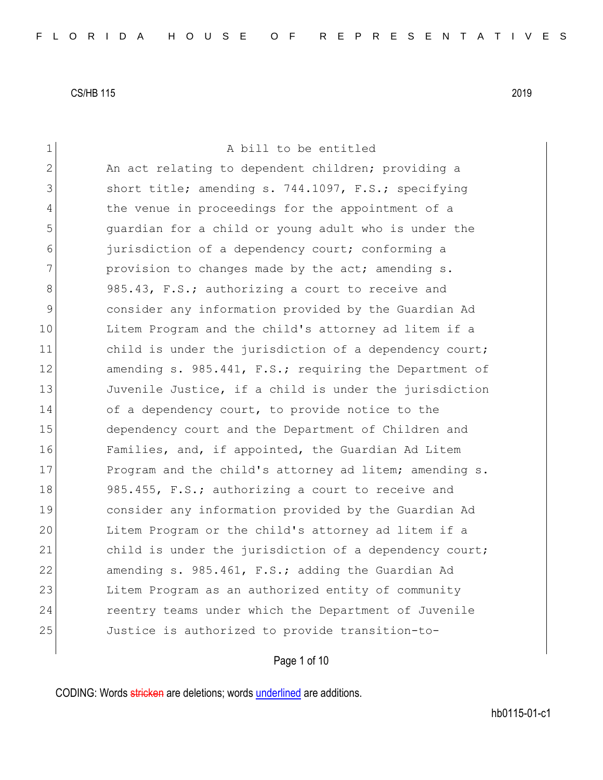| $\mathbf 1$    | A bill to be entitled                                  |
|----------------|--------------------------------------------------------|
| $\overline{2}$ | An act relating to dependent children; providing a     |
| 3              | short title; amending s. 744.1097, F.S.; specifying    |
| 4              | the venue in proceedings for the appointment of a      |
| 5              | quardian for a child or young adult who is under the   |
| 6              | jurisdiction of a dependency court; conforming a       |
| 7              | provision to changes made by the act; amending s.      |
| 8              | 985.43, F.S.; authorizing a court to receive and       |
| 9              | consider any information provided by the Guardian Ad   |
| 10             | Litem Program and the child's attorney ad litem if a   |
| 11             | child is under the jurisdiction of a dependency court; |
| 12             | amending s. 985.441, F.S.; requiring the Department of |
| 13             | Juvenile Justice, if a child is under the jurisdiction |
| 14             | of a dependency court, to provide notice to the        |
| 15             | dependency court and the Department of Children and    |
| 16             | Families, and, if appointed, the Guardian Ad Litem     |
| 17             | Program and the child's attorney ad litem; amending s. |
| 18             | 985.455, F.S.; authorizing a court to receive and      |
| 19             | consider any information provided by the Guardian Ad   |
| 20             | Litem Program or the child's attorney ad litem if a    |
| 21             | child is under the jurisdiction of a dependency court; |
| 22             | amending s. 985.461, F.S.; adding the Guardian Ad      |
| 23             | Litem Program as an authorized entity of community     |
| 24             | reentry teams under which the Department of Juvenile   |
| 25             | Justice is authorized to provide transition-to-        |
|                |                                                        |

Page 1 of 10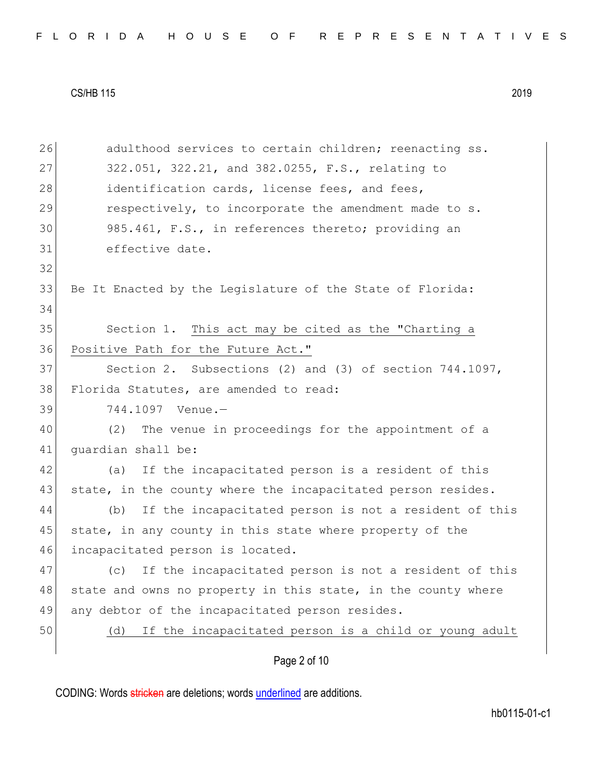|  |  |  |  |  |  |  |  | FLORIDA HOUSE OF REPRESENTATIVES |  |  |  |  |  |  |  |  |  |  |  |  |  |  |  |  |  |  |  |  |  |  |  |  |  |
|--|--|--|--|--|--|--|--|----------------------------------|--|--|--|--|--|--|--|--|--|--|--|--|--|--|--|--|--|--|--|--|--|--|--|--|--|
|--|--|--|--|--|--|--|--|----------------------------------|--|--|--|--|--|--|--|--|--|--|--|--|--|--|--|--|--|--|--|--|--|--|--|--|--|

| 26 | adulthood services to certain children; reenacting ss.        |
|----|---------------------------------------------------------------|
| 27 | 322.051, 322.21, and 382.0255, F.S., relating to              |
| 28 | identification cards, license fees, and fees,                 |
| 29 | respectively, to incorporate the amendment made to s.         |
| 30 | 985.461, F.S., in references thereto; providing an            |
| 31 | effective date.                                               |
| 32 |                                                               |
| 33 | Be It Enacted by the Legislature of the State of Florida:     |
| 34 |                                                               |
| 35 | Section 1. This act may be cited as the "Charting a           |
| 36 | Positive Path for the Future Act."                            |
| 37 | Section 2. Subsections (2) and (3) of section $744.1097$ ,    |
| 38 | Florida Statutes, are amended to read:                        |
| 39 | 744.1097 Venue.-                                              |
| 40 | (2) The venue in proceedings for the appointment of a         |
| 41 | guardian shall be:                                            |
| 42 | If the incapacitated person is a resident of this<br>(a)      |
| 43 | state, in the county where the incapacitated person resides.  |
| 44 | If the incapacitated person is not a resident of this<br>(b)  |
| 45 | state, in any county in this state where property of the      |
| 46 | incapacitated person is located.                              |
| 47 | If the incapacitated person is not a resident of this<br>(C)  |
| 48 | state and owns no property in this state, in the county where |
| 49 | any debtor of the incapacitated person resides.               |
| 50 | If the incapacitated person is a child or young adult<br>(d)  |
|    | Page 2 of 10                                                  |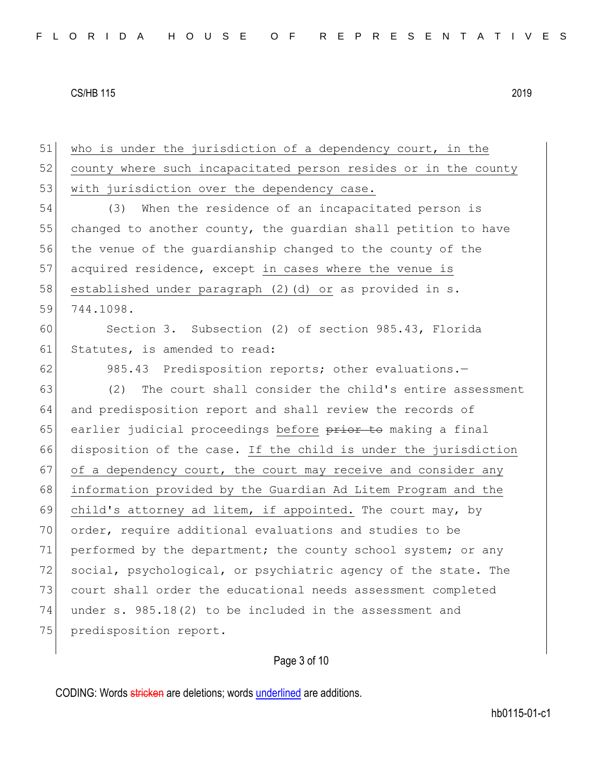51 who is under the jurisdiction of a dependency court, in the 52 county where such incapacitated person resides or in the county 53 with jurisdiction over the dependency case. 54 (3) When the residence of an incapacitated person is 55 changed to another county, the quardian shall petition to have 56 the venue of the guardianship changed to the county of the 57 acquired residence, except in cases where the venue is 58 established under paragraph (2)(d) or as provided in s. 59 744.1098. 60 Section 3. Subsection (2) of section 985.43, Florida 61 Statutes, is amended to read: 62 985.43 Predisposition reports; other evaluations.-63 (2) The court shall consider the child's entire assessment 64 and predisposition report and shall review the records of 65 earlier judicial proceedings before prior to making a final 66 disposition of the case. If the child is under the jurisdiction  $67$  of a dependency court, the court may receive and consider any 68 information provided by the Guardian Ad Litem Program and the 69 child's attorney ad litem, if appointed. The court may, by 70 order, require additional evaluations and studies to be 71 performed by the department; the county school system; or any 72 social, psychological, or psychiatric agency of the state. The 73 court shall order the educational needs assessment completed 74 under s. 985.18(2) to be included in the assessment and 75 predisposition report.

Page 3 of 10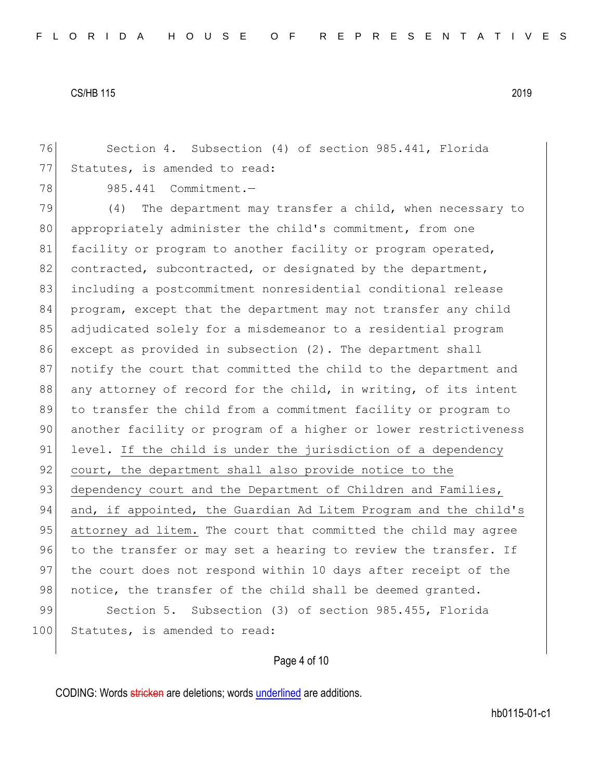76 Section 4. Subsection (4) of section 985.441, Florida 77 Statutes, is amended to read:

78 985.441 Commitment.

79 (4) The department may transfer a child, when necessary to 80 appropriately administer the child's commitment, from one 81 facility or program to another facility or program operated, 82 contracted, subcontracted, or designated by the department, 83 including a postcommitment nonresidential conditional release 84 program, except that the department may not transfer any child 85 adjudicated solely for a misdemeanor to a residential program 86 except as provided in subsection (2). The department shall 87 | notify the court that committed the child to the department and 88 any attorney of record for the child, in writing, of its intent 89 to transfer the child from a commitment facility or program to 90 another facility or program of a higher or lower restrictiveness 91 level. If the child is under the jurisdiction of a dependency 92 court, the department shall also provide notice to the 93 dependency court and the Department of Children and Families, 94 and, if appointed, the Guardian Ad Litem Program and the child's 95 attorney ad litem. The court that committed the child may agree 96 to the transfer or may set a hearing to review the transfer. If 97 the court does not respond within 10 days after receipt of the 98 notice, the transfer of the child shall be deemed granted. 99 Section 5. Subsection (3) of section 985.455, Florida 100 Statutes, is amended to read:

# Page 4 of 10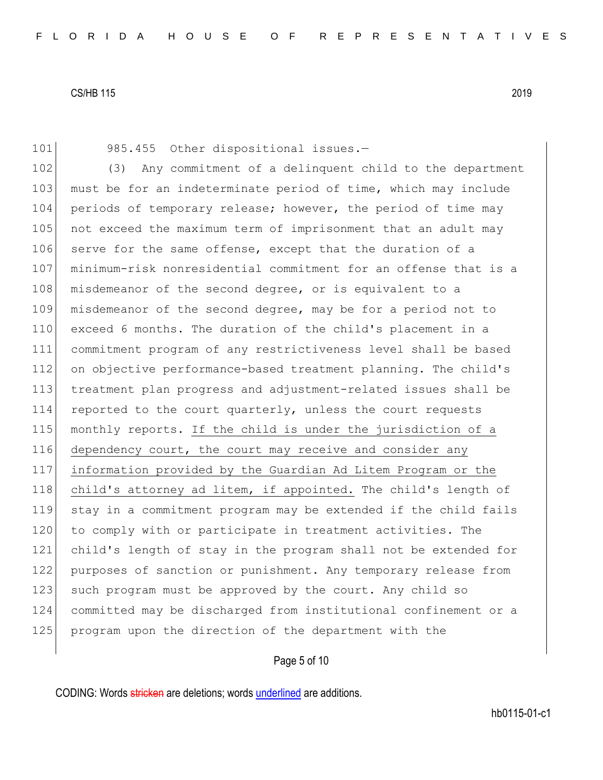101 985.455 Other dispositional issues.-

102 (3) Any commitment of a delinquent child to the department 103 must be for an indeterminate period of time, which may include 104 periods of temporary release; however, the period of time may 105 not exceed the maximum term of imprisonment that an adult may 106 serve for the same offense, except that the duration of a 107 minimum-risk nonresidential commitment for an offense that is a 108 misdemeanor of the second degree, or is equivalent to a 109 misdemeanor of the second degree, may be for a period not to 110 exceed 6 months. The duration of the child's placement in a 111 commitment program of any restrictiveness level shall be based 112 on objective performance-based treatment planning. The child's 113 treatment plan progress and adjustment-related issues shall be 114 reported to the court quarterly, unless the court requests 115 monthly reports. If the child is under the jurisdiction of a 116 dependency court, the court may receive and consider any 117 information provided by the Guardian Ad Litem Program or the 118 child's attorney ad litem, if appointed. The child's length of 119 stay in a commitment program may be extended if the child fails 120 to comply with or participate in treatment activities. The 121 child's length of stay in the program shall not be extended for 122 purposes of sanction or punishment. Any temporary release from 123 such program must be approved by the court. Any child so 124 committed may be discharged from institutional confinement or a 125 program upon the direction of the department with the

# Page 5 of 10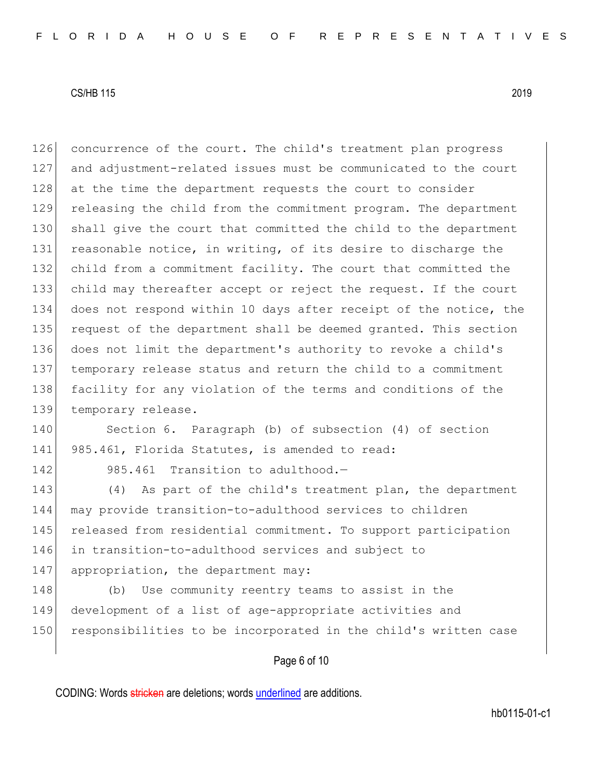126 concurrence of the court. The child's treatment plan progress 127 and adjustment-related issues must be communicated to the court 128 at the time the department requests the court to consider 129 releasing the child from the commitment program. The department 130 shall give the court that committed the child to the department 131 reasonable notice, in writing, of its desire to discharge the 132 child from a commitment facility. The court that committed the 133 child may thereafter accept or reject the request. If the court 134 does not respond within 10 days after receipt of the notice, the 135 request of the department shall be deemed granted. This section 136 does not limit the department's authority to revoke a child's 137 temporary release status and return the child to a commitment 138 facility for any violation of the terms and conditions of the 139 temporary release.

140 Section 6. Paragraph (b) of subsection (4) of section 141 985.461, Florida Statutes, is amended to read:

142 985.461 Transition to adulthood.-

 (4) As part of the child's treatment plan, the department may provide transition-to-adulthood services to children released from residential commitment. To support participation in transition-to-adulthood services and subject to 147 appropriation, the department may:

148 (b) Use community reentry teams to assist in the 149 development of a list of age-appropriate activities and 150 responsibilities to be incorporated in the child's written case

Page 6 of 10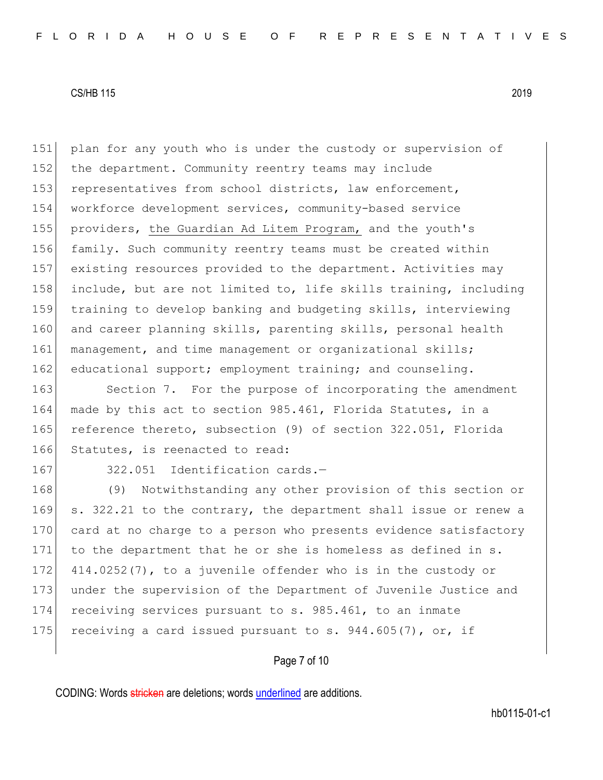151 plan for any youth who is under the custody or supervision of 152 the department. Community reentry teams may include 153 representatives from school districts, law enforcement, 154 workforce development services, community-based service 155 providers, the Guardian Ad Litem Program, and the youth's 156 family. Such community reentry teams must be created within 157 existing resources provided to the department. Activities may 158 include, but are not limited to, life skills training, including 159 training to develop banking and budgeting skills, interviewing 160 and career planning skills, parenting skills, personal health 161 management, and time management or organizational skills; 162 educational support; employment training; and counseling.

163 Section 7. For the purpose of incorporating the amendment 164 made by this act to section 985.461, Florida Statutes, in a 165 reference thereto, subsection (9) of section 322.051, Florida 166 Statutes, is reenacted to read:

167 322.051 Identification cards.-

168 (9) Notwithstanding any other provision of this section or 169 s. 322.21 to the contrary, the department shall issue or renew a 170 card at no charge to a person who presents evidence satisfactory 171 to the department that he or she is homeless as defined in s. 172 414.0252(7), to a juvenile offender who is in the custody or 173 under the supervision of the Department of Juvenile Justice and 174 receiving services pursuant to s. 985.461, to an inmate 175 receiving a card issued pursuant to s.  $944.605(7)$ , or, if

Page 7 of 10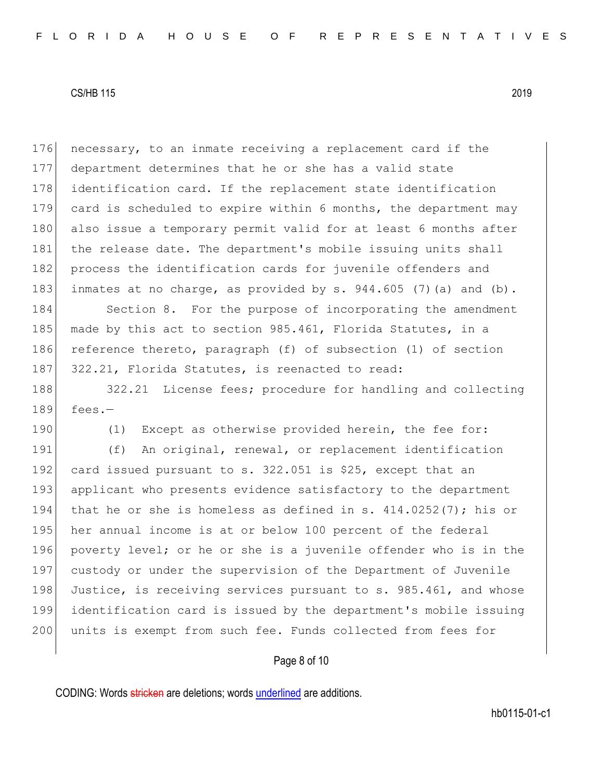176 necessary, to an inmate receiving a replacement card if the 177 department determines that he or she has a valid state 178 identification card. If the replacement state identification 179 card is scheduled to expire within 6 months, the department may 180 also issue a temporary permit valid for at least 6 months after 181 the release date. The department's mobile issuing units shall 182 process the identification cards for juvenile offenders and 183 inmates at no charge, as provided by  $s. 944.605$  (7)(a) and (b).

184 Section 8. For the purpose of incorporating the amendment 185 made by this act to section 985.461, Florida Statutes, in a 186 reference thereto, paragraph (f) of subsection (1) of section 187 322.21, Florida Statutes, is reenacted to read:

188 322.21 License fees; procedure for handling and collecting  $189$  fees.-

190 (1) Except as otherwise provided herein, the fee for:

191 (f) An original, renewal, or replacement identification 192 card issued pursuant to s. 322.051 is \$25, except that an 193 applicant who presents evidence satisfactory to the department 194 that he or she is homeless as defined in s.  $414.0252(7)$ ; his or 195 her annual income is at or below 100 percent of the federal 196 poverty level; or he or she is a juvenile offender who is in the 197 custody or under the supervision of the Department of Juvenile 198 Justice, is receiving services pursuant to s. 985.461, and whose 199 identification card is issued by the department's mobile issuing 200 units is exempt from such fee. Funds collected from fees for

## Page 8 of 10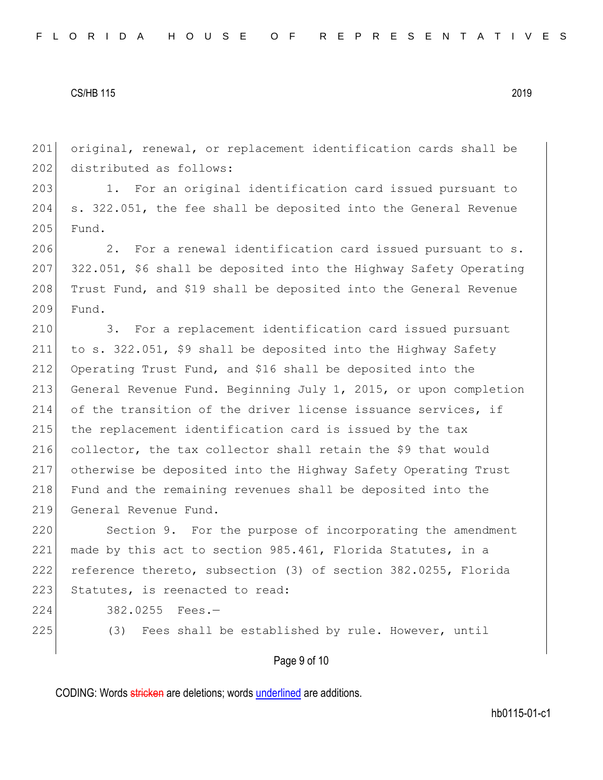201 original, renewal, or replacement identification cards shall be 202 distributed as follows:

203 1. For an original identification card issued pursuant to 204 s. 322.051, the fee shall be deposited into the General Revenue 205 Fund.

206 2. For a renewal identification card issued pursuant to s. 207 322.051, \$6 shall be deposited into the Highway Safety Operating 208 Trust Fund, and \$19 shall be deposited into the General Revenue 209 Fund.

210 3. For a replacement identification card issued pursuant 211 to s. 322.051, \$9 shall be deposited into the Highway Safety 212 Operating Trust Fund, and \$16 shall be deposited into the 213 General Revenue Fund. Beginning July 1, 2015, or upon completion 214 of the transition of the driver license issuance services, if 215 the replacement identification card is issued by the tax 216 collector, the tax collector shall retain the \$9 that would 217 otherwise be deposited into the Highway Safety Operating Trust 218 Fund and the remaining revenues shall be deposited into the 219 General Revenue Fund.

220 Section 9. For the purpose of incorporating the amendment 221 made by this act to section 985.461, Florida Statutes, in a 222 reference thereto, subsection (3) of section 382.0255, Florida 223 Statutes, is reenacted to read:

224 382.0255 Fees.—

225 (3) Fees shall be established by rule. However, until

Page 9 of 10